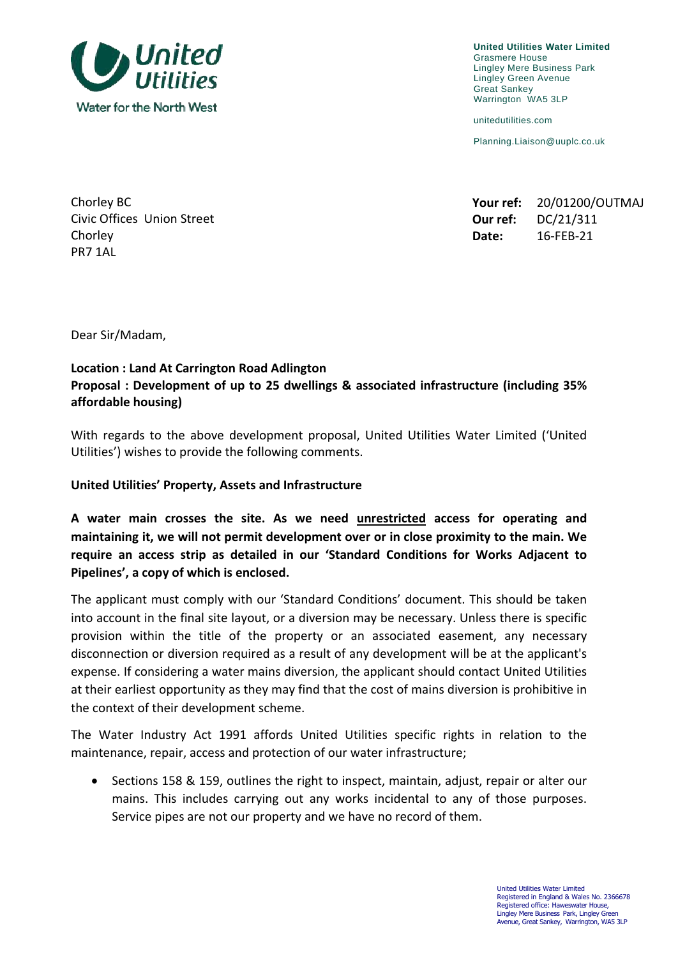

**United Utilities Water Limited** Grasmere House Lingley Mere Business Park Lingley Green Avenue Great Sankey Warrington WA5 3LP

unitedutilities.com

Planning.Liaison@uuplc.co.uk

| Chorley BC                 |       | Your ref: 20/01200/OUTMAJ |
|----------------------------|-------|---------------------------|
| Civic Offices Union Street |       | Our ref: $DC/21/311$      |
| Chorley                    | Date: | 16-FEB-21                 |

**Civic Offices Union Street** Chorley **Date:** 16-FEB-21 PR7 1AL

Dear Sir/Madam,

# **Location : Land At Carrington Road Adlington Proposal : Development of up to 25 dwellings & associated infrastructure (including 35% affordable housing)**

With regards to the above development proposal, United Utilities Water Limited ('United Utilities') wishes to provide the following comments.

### **United Utilities' Property, Assets and Infrastructure**

**A water main crosses the site. As we need unrestricted access for operating and maintaining it, we will not permit development over or in close proximity to the main. We require an access strip as detailed in our 'Standard Conditions for Works Adjacent to Pipelines', a copy of which is enclosed.** 

The applicant must comply with our 'Standard Conditions' document. This should be taken into account in the final site layout, or a diversion may be necessary. Unless there is specific provision within the title of the property or an associated easement, any necessary disconnection or diversion required as a result of any development will be at the applicant's expense. If considering a water mains diversion, the applicant should contact United Utilities at their earliest opportunity as they may find that the cost of mains diversion is prohibitive in the context of their development scheme.

The Water Industry Act 1991 affords United Utilities specific rights in relation to the maintenance, repair, access and protection of our water infrastructure;

 Sections 158 & 159, outlines the right to inspect, maintain, adjust, repair or alter our mains. This includes carrying out any works incidental to any of those purposes. Service pipes are not our property and we have no record of them.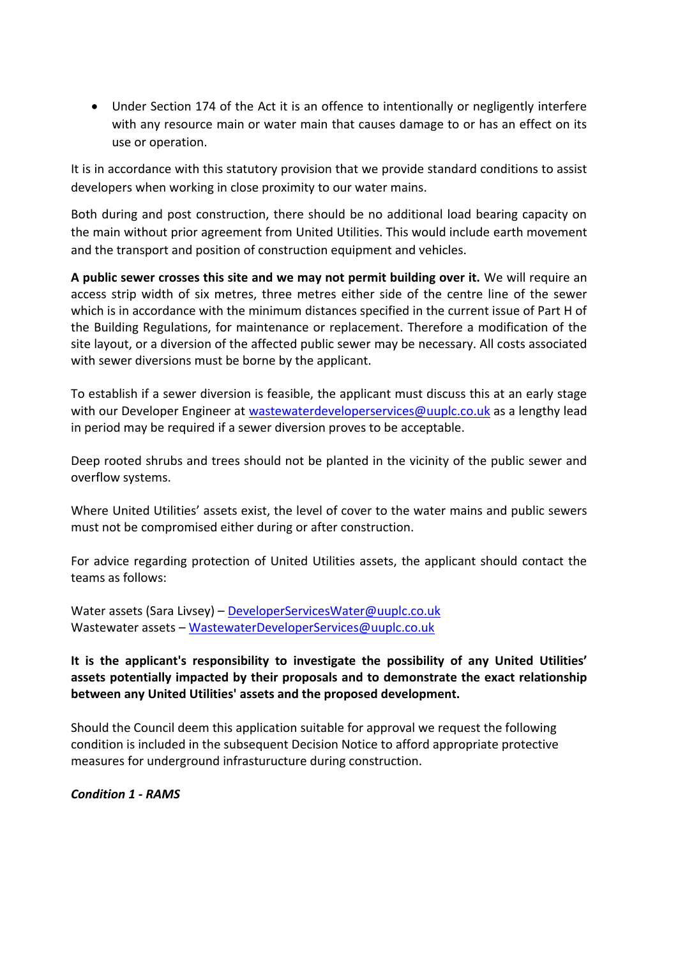Under Section 174 of the Act it is an offence to intentionally or negligently interfere with any resource main or water main that causes damage to or has an effect on its use or operation.

It is in accordance with this statutory provision that we provide standard conditions to assist developers when working in close proximity to our water mains.

Both during and post construction, there should be no additional load bearing capacity on the main without prior agreement from United Utilities. This would include earth movement and the transport and position of construction equipment and vehicles.

**A public sewer crosses this site and we may not permit building over it.** We will require an access strip width of six metres, three metres either side of the centre line of the sewer which is in accordance with the minimum distances specified in the current issue of Part H of the Building Regulations, for maintenance or replacement. Therefore a modification of the site layout, or a diversion of the affected public sewer may be necessary. All costs associated with sewer diversions must be borne by the applicant.

To establish if a sewer diversion is feasible, the applicant must discuss this at an early stage with our Developer Engineer at [wastewaterdeveloperservices@uuplc.co.uk](mailto:wastewaterdeveloperservices@uuplc.co.uk) as a lengthy lead in period may be required if a sewer diversion proves to be acceptable.

Deep rooted shrubs and trees should not be planted in the vicinity of the public sewer and overflow systems.

Where United Utilities' assets exist, the level of cover to the water mains and public sewers must not be compromised either during or after construction.

For advice regarding protection of United Utilities assets, the applicant should contact the teams as follows:

Water assets (Sara Livsey) – [DeveloperServicesWater@uuplc.co.uk](mailto:DeveloperServicesWater@uuplc.co.uk) Wastewater assets – [WastewaterDeveloperServices@uuplc.co.uk](mailto:WastewaterDeveloperServices@uuplc.co.uk)

# **It is the applicant's responsibility to investigate the possibility of any United Utilities' assets potentially impacted by their proposals and to demonstrate the exact relationship between any United Utilities' assets and the proposed development.**

Should the Council deem this application suitable for approval we request the following condition is included in the subsequent Decision Notice to afford appropriate protective measures for underground infrasturucture during construction.

*Condition 1 - RAMS*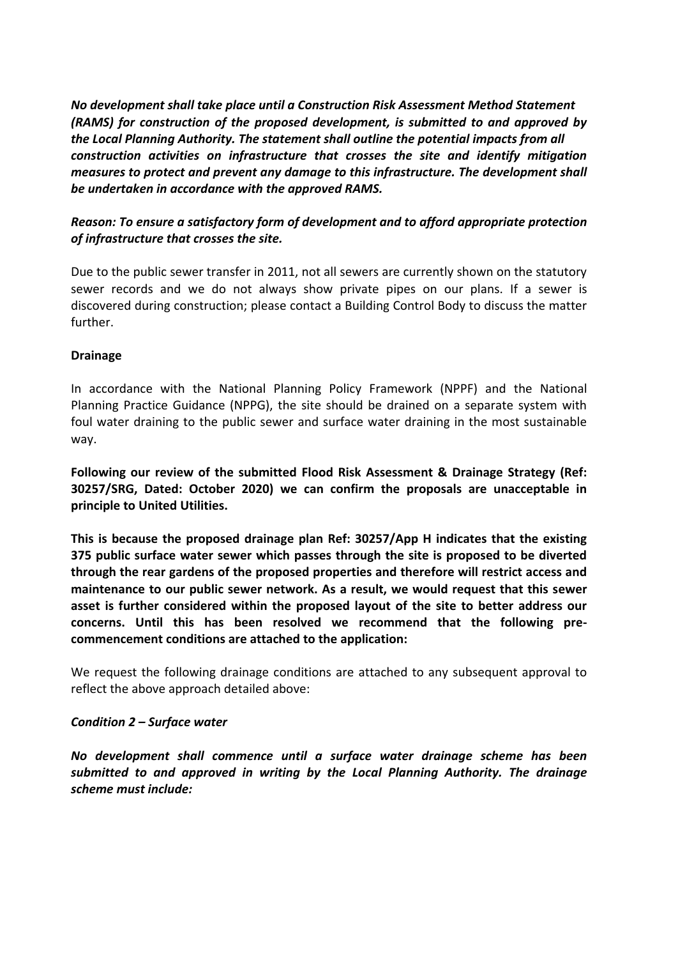*No development shall take place until a Construction Risk Assessment Method Statement (RAMS) for construction of the proposed development, is submitted to and approved by the Local Planning Authority. The statement shall outline the potential impacts from all construction activities on infrastructure that crosses the site and identify mitigation measures to protect and prevent any damage to this infrastructure. The development shall be undertaken in accordance with the approved RAMS.*

# *Reason: To ensure a satisfactory form of development and to afford appropriate protection of infrastructure that crosses the site.*

Due to the public sewer transfer in 2011, not all sewers are currently shown on the statutory sewer records and we do not always show private pipes on our plans. If a sewer is discovered during construction; please contact a Building Control Body to discuss the matter further.

#### **Drainage**

In accordance with the National Planning Policy Framework (NPPF) and the National Planning Practice Guidance (NPPG), the site should be drained on a separate system with foul water draining to the public sewer and surface water draining in the most sustainable way.

**Following our review of the submitted Flood Risk Assessment & Drainage Strategy (Ref: 30257/SRG, Dated: October 2020) we can confirm the proposals are unacceptable in principle to United Utilities.** 

**This is because the proposed drainage plan Ref: 30257/App H indicates that the existing 375 public surface water sewer which passes through the site is proposed to be diverted through the rear gardens of the proposed properties and therefore will restrict access and maintenance to our public sewer network. As a result, we would request that this sewer asset is further considered within the proposed layout of the site to better address our concerns. Until this has been resolved we recommend that the following precommencement conditions are attached to the application:** 

We request the following drainage conditions are attached to any subsequent approval to reflect the above approach detailed above:

#### *Condition 2 – Surface water*

*No development shall commence until a surface water drainage scheme has been submitted to and approved in writing by the Local Planning Authority. The drainage scheme must include:*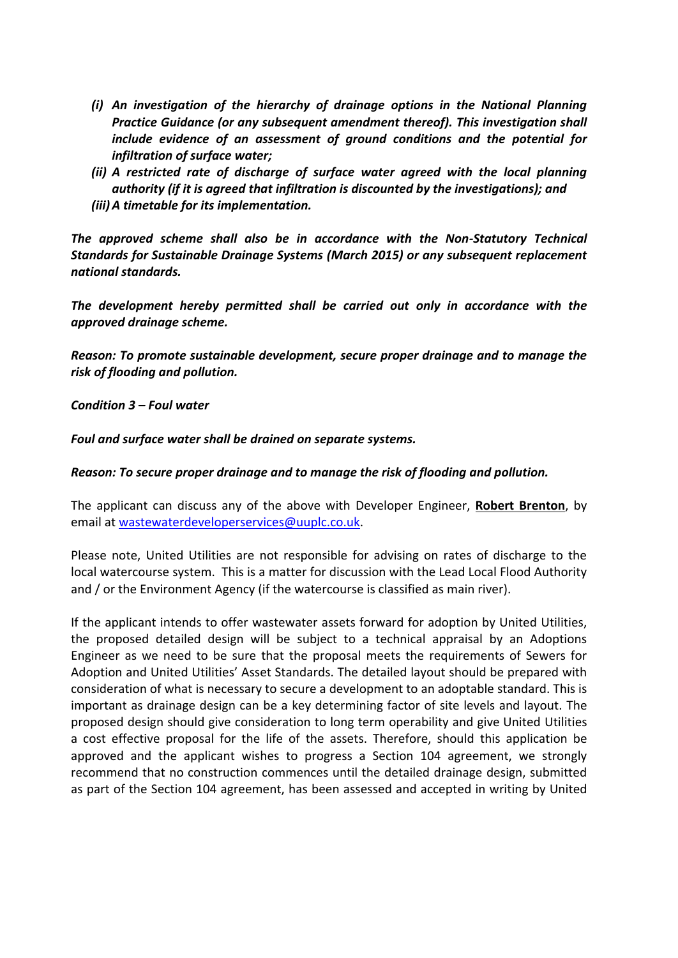- *(i) An investigation of the hierarchy of drainage options in the National Planning Practice Guidance (or any subsequent amendment thereof). This investigation shall include evidence of an assessment of ground conditions and the potential for infiltration of surface water;*
- *(ii) A restricted rate of discharge of surface water agreed with the local planning authority (if it is agreed that infiltration is discounted by the investigations); and (iii)A timetable for its implementation.*

*The approved scheme shall also be in accordance with the Non-Statutory Technical Standards for Sustainable Drainage Systems (March 2015) or any subsequent replacement national standards.*

*The development hereby permitted shall be carried out only in accordance with the approved drainage scheme.*

*Reason: To promote sustainable development, secure proper drainage and to manage the risk of flooding and pollution.*

#### *Condition 3 – Foul water*

*Foul and surface water shall be drained on separate systems.* 

#### *Reason: To secure proper drainage and to manage the risk of flooding and pollution.*

The applicant can discuss any of the above with Developer Engineer, **Robert Brenton**, by email at [wastewaterdeveloperservices@uuplc.co.uk.](mailto:wastewaterdeveloperservices@uuplc.co.uk)

Please note, United Utilities are not responsible for advising on rates of discharge to the local watercourse system. This is a matter for discussion with the Lead Local Flood Authority and / or the Environment Agency (if the watercourse is classified as main river).

If the applicant intends to offer wastewater assets forward for adoption by United Utilities, the proposed detailed design will be subject to a technical appraisal by an Adoptions Engineer as we need to be sure that the proposal meets the requirements of Sewers for Adoption and United Utilities' Asset Standards. The detailed layout should be prepared with consideration of what is necessary to secure a development to an adoptable standard. This is important as drainage design can be a key determining factor of site levels and layout. The proposed design should give consideration to long term operability and give United Utilities a cost effective proposal for the life of the assets. Therefore, should this application be approved and the applicant wishes to progress a Section 104 agreement, we strongly recommend that no construction commences until the detailed drainage design, submitted as part of the Section 104 agreement, has been assessed and accepted in writing by United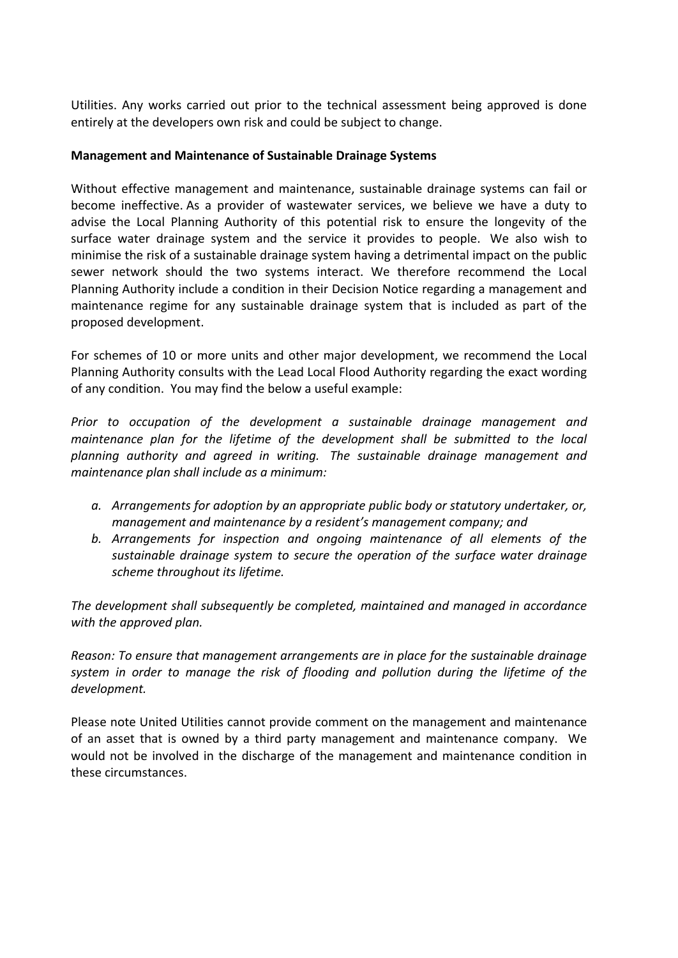Utilities. Any works carried out prior to the technical assessment being approved is done entirely at the developers own risk and could be subject to change.

### **Management and Maintenance of Sustainable Drainage Systems**

Without effective management and maintenance, sustainable drainage systems can fail or become ineffective. As a provider of wastewater services, we believe we have a duty to advise the Local Planning Authority of this potential risk to ensure the longevity of the surface water drainage system and the service it provides to people. We also wish to minimise the risk of a sustainable drainage system having a detrimental impact on the public sewer network should the two systems interact. We therefore recommend the Local Planning Authority include a condition in their Decision Notice regarding a management and maintenance regime for any sustainable drainage system that is included as part of the proposed development.

For schemes of 10 or more units and other major development, we recommend the Local Planning Authority consults with the Lead Local Flood Authority regarding the exact wording of any condition. You may find the below a useful example:

*Prior to occupation of the development a sustainable drainage management and maintenance plan for the lifetime of the development shall be submitted to the local planning authority and agreed in writing. The sustainable drainage management and maintenance plan shall include as a minimum:* 

- *a. Arrangements for adoption by an appropriate public body or statutory undertaker, or, management and maintenance by a resident's management company; and*
- *b. Arrangements for inspection and ongoing maintenance of all elements of the sustainable drainage system to secure the operation of the surface water drainage scheme throughout its lifetime.*

*The development shall subsequently be completed, maintained and managed in accordance with the approved plan.*

*Reason: To ensure that management arrangements are in place for the sustainable drainage system in order to manage the risk of flooding and pollution during the lifetime of the development.*

Please note United Utilities cannot provide comment on the management and maintenance of an asset that is owned by a third party management and maintenance company. We would not be involved in the discharge of the management and maintenance condition in these circumstances.